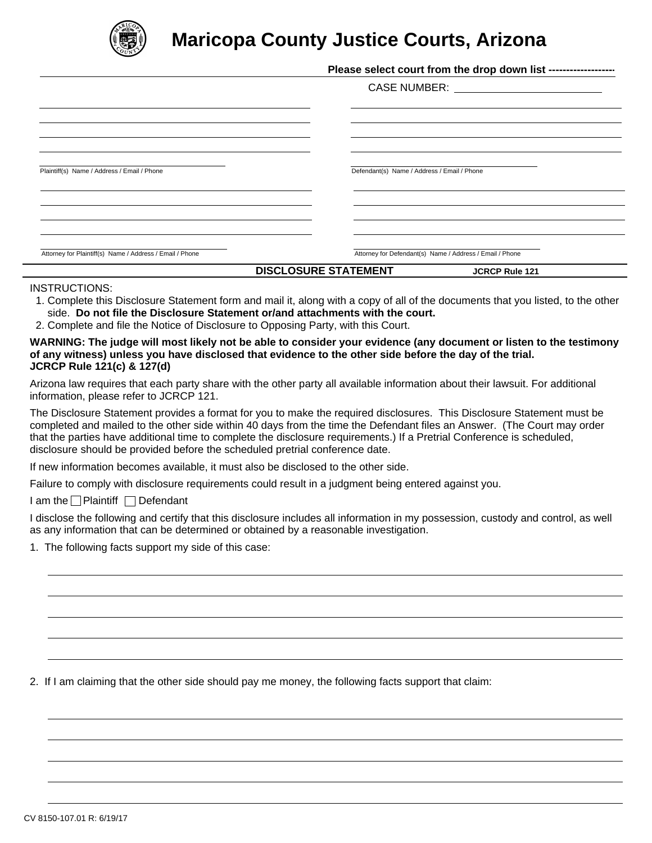

## **Maricopa County Justice Courts, Arizona**

|                                                          | Please select court from the drop down list ------------------- |  |
|----------------------------------------------------------|-----------------------------------------------------------------|--|
|                                                          | CASE NUMBER: __________________________                         |  |
|                                                          |                                                                 |  |
|                                                          |                                                                 |  |
|                                                          |                                                                 |  |
| Plaintiff(s) Name / Address / Email / Phone              | Defendant(s) Name / Address / Email / Phone                     |  |
|                                                          |                                                                 |  |
|                                                          |                                                                 |  |
|                                                          |                                                                 |  |
| Attorney for Plaintiff(s) Name / Address / Email / Phone | Attorney for Defendant(s) Name / Address / Email / Phone        |  |
|                                                          | <b>DISCLOSURE STATEMENT</b><br><b>JCRCP Rule 121</b>            |  |

## INSTRUCTIONS:

- 1. Complete this Disclosure Statement form and mail it, along with a copy of all of the documents that you listed, to the other side. **Do not file the Disclosure Statement or/and attachments with the court.**
- 2. Complete and file the Notice of Disclosure to Opposing Party, with this Court.

## **WARNING: The judge will most likely not be able to consider your evidence (any document or listen to the testimony of any witness) unless you have disclosed that evidence to the other side before the day of the trial. JCRCP Rule 121(c) & 127(d)**

Arizona law requires that each party share with the other party all available information about their lawsuit. For additional information, please refer to JCRCP 121.

The Disclosure Statement provides a format for you to make the required disclosures. This Disclosure Statement must be completed and mailed to the other side within 40 days from the time the Defendant files an Answer. (The Court may order that the parties have additional time to complete the disclosure requirements.) If a Pretrial Conference is scheduled, disclosure should be provided before the scheduled pretrial conference date.

If new information becomes available, it must also be disclosed to the other side.

Failure to comply with disclosure requirements could result in a judgment being entered against you.

I am the  $\Box$  Plaintiff  $\Box$  Defendant

I disclose the following and certify that this disclosure includes all information in my possession, custody and control, as well as any information that can be determined or obtained by a reasonable investigation.

1. The following facts support my side of this case:

2. If I am claiming that the other side should pay me money, the following facts support that claim: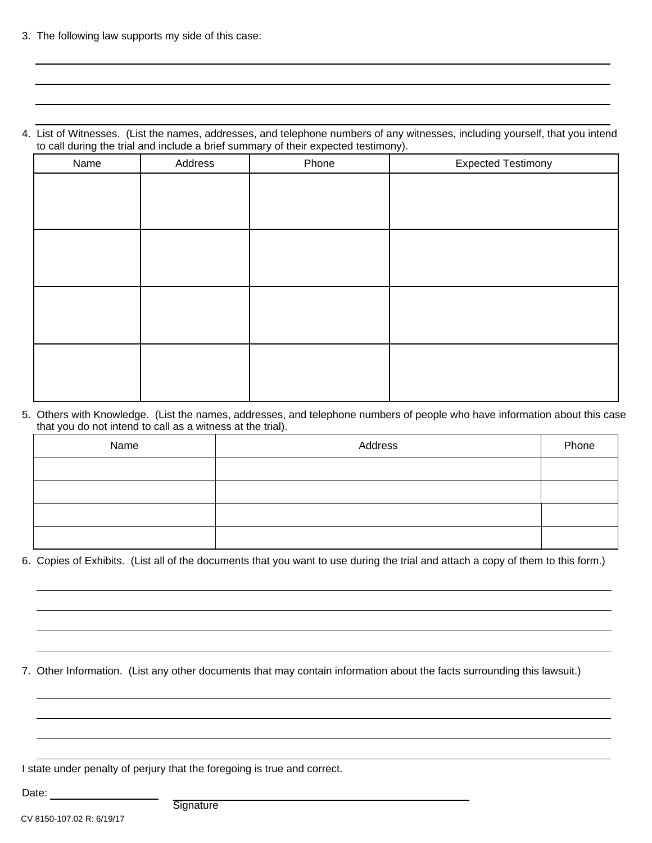3. The following law supports my side of this case:

4. List of Witnesses. (List the names, addresses, and telephone numbers of any witnesses, including yourself, that you intend to call during the trial and include a brief summary of their expected testimony).

| Name | Address | Phone | <b>Expected Testimony</b> |
|------|---------|-------|---------------------------|
|      |         |       |                           |
|      |         |       |                           |
|      |         |       |                           |
|      |         |       |                           |
|      |         |       |                           |
|      |         |       |                           |
|      |         |       |                           |
|      |         |       |                           |
|      |         |       |                           |
|      |         |       |                           |
|      |         |       |                           |
|      |         |       |                           |

5. Others with Knowledge. (List the names, addresses, and telephone numbers of people who have information about this case that you do not intend to call as a witness at the trial).

| Name | Address | Phone |
|------|---------|-------|
|      |         |       |
|      |         |       |
|      |         |       |
|      |         |       |

6. Copies of Exhibits. (List all of the documents that you want to use during the trial and attach a copy of them to this form.)

7. Other Information. (List any other documents that may contain information about the facts surrounding this lawsuit.)

I state under penalty of perjury that the foregoing is true and correct.

Date:

**Signature**